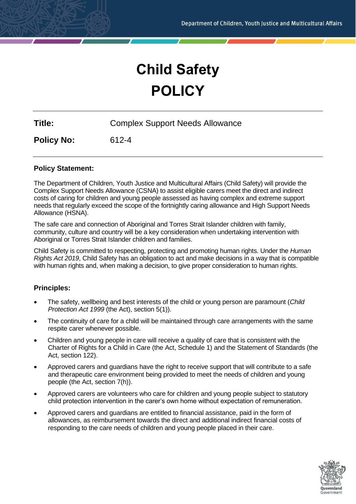# **Child Safety POLICY**

|  | Title: | <b>Complex Support Needs Allowance</b> |
|--|--------|----------------------------------------|
|--|--------|----------------------------------------|

**Policy No:** 612-4

# **Policy Statement:**

The Department of Children, Youth Justice and Multicultural Affairs (Child Safety) will provide the Complex Support Needs Allowance (CSNA) to assist eligible carers meet the direct and indirect costs of caring for children and young people assessed as having complex and extreme support needs that regularly exceed the scope of the fortnightly caring allowance and High Support Needs Allowance (HSNA).

The safe care and connection of Aboriginal and Torres Strait Islander children with family, community, culture and country will be a key consideration when undertaking intervention with Aboriginal or Torres Strait Islander children and families.

Child Safety is committed to respecting, protecting and promoting human rights. Under the *Human Rights Act 2019*, Child Safety has an obligation to act and make decisions in a way that is compatible with human rights and, when making a decision, to give proper consideration to human rights.

# **Principles:**

- The safety, wellbeing and best interests of the child or young person are paramount (*Child Protection Act 1999* (the Act), section 5(1)).
- The continuity of care for a child will be maintained through care arrangements with the same respite carer whenever possible.
- Children and young people in care will receive a quality of care that is consistent with the Charter of Rights for a Child in Care (the Act, Schedule 1) and the Statement of Standards (the Act, section 122).
- Approved carers and guardians have the right to receive support that will contribute to a safe and therapeutic care environment being provided to meet the needs of children and young people (the Act, section 7(h)).
- Approved carers are volunteers who care for children and young people subject to statutory child protection intervention in the carer's own home without expectation of remuneration.
- Approved carers and guardians are entitled to financial assistance, paid in the form of allowances, as reimbursement towards the direct and additional indirect financial costs of responding to the care needs of children and young people placed in their care.

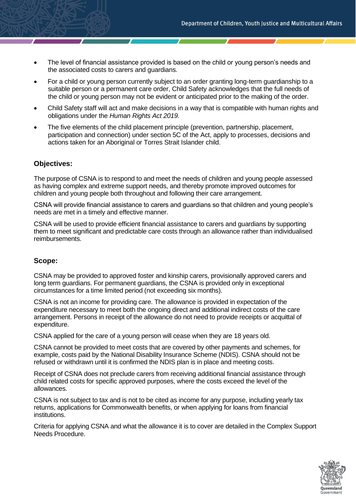- The level of financial assistance provided is based on the child or young person's needs and the associated costs to carers and guardians.
- For a child or young person currently subject to an order granting long-term guardianship to a suitable person or a permanent care order, Child Safety acknowledges that the full needs of the child or young person may not be evident or anticipated prior to the making of the order.
- Child Safety staff will act and make decisions in a way that is compatible with human rights and obligations under the *Human Rights Act 2019.*
- The five elements of the child placement principle (prevention, partnership, placement, participation and connection) under section 5C of the Act, apply to processes, decisions and actions taken for an Aboriginal or Torres Strait Islander child.

#### **Objectives:**

The purpose of CSNA is to respond to and meet the needs of children and young people assessed as having complex and extreme support needs, and thereby promote improved outcomes for children and young people both throughout and following their care arrangement.

CSNA will provide financial assistance to carers and guardians so that children and young people's needs are met in a timely and effective manner.

CSNA will be used to provide efficient financial assistance to carers and guardians by supporting them to meet significant and predictable care costs through an allowance rather than individualised reimbursements.

# **Scope:**

CSNA may be provided to approved foster and kinship carers, provisionally approved carers and long term guardians. For permanent guardians, the CSNA is provided only in exceptional circumstances for a time limited period (not exceeding six months).

CSNA is not an income for providing care. The allowance is provided in expectation of the expenditure necessary to meet both the ongoing direct and additional indirect costs of the care arrangement. Persons in receipt of the allowance do not need to provide receipts or acquittal of expenditure.

CSNA applied for the care of a young person will cease when they are 18 years old.

CSNA cannot be provided to meet costs that are covered by other payments and schemes, for example, costs paid by the National Disability Insurance Scheme (NDIS). CSNA should not be refused or withdrawn until it is confirmed the NDIS plan is in place and meeting costs.

Receipt of CSNA does not preclude carers from receiving additional financial assistance through child related costs for specific approved purposes, where the costs exceed the level of the allowances.

CSNA is not subject to tax and is not to be cited as income for any purpose, including yearly tax returns, applications for Commonwealth benefits, or when applying for loans from financial institutions.

Criteria for applying CSNA and what the allowance it is to cover are detailed in the Complex Support Needs Procedure.

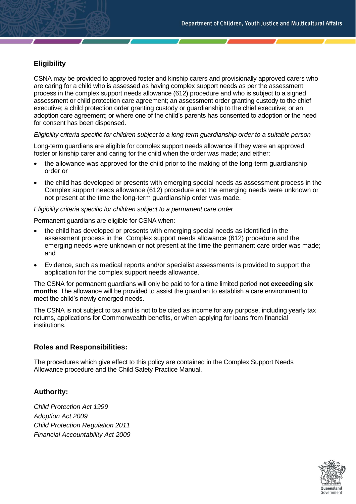# **Eligibility**

CSNA may be provided to approved foster and kinship carers and provisionally approved carers who are caring for a child who is assessed as having complex support needs as per the assessment process in the complex support needs allowance (612) procedure and who is subject to a signed assessment or child protection care agreement; an assessment order granting custody to the chief executive; a child protection order granting custody or guardianship to the chief executive; or an adoption care agreement; or where one of the child's parents has consented to adoption or the need for consent has been dispensed.

#### *Eligibility criteria specific for children subject to a long-term guardianship order to a suitable person*

Long-term guardians are eligible for complex support needs allowance if they were an approved foster or kinship carer and caring for the child when the order was made; and either:

- the allowance was approved for the child prior to the making of the long-term guardianship order or
- the child has developed or presents with emerging special needs as assessment process in the Complex support needs allowance (612) procedure and the emerging needs were unknown or not present at the time the long-term guardianship order was made.

#### *Eligibility criteria specific for children subject to a permanent care order*

Permanent guardians are eligible for CSNA when:

- the child has developed or presents with emerging special needs as identified in the assessment process in the Complex support needs allowance (612) procedure and the emerging needs were unknown or not present at the time the permanent care order was made; and
- Evidence, such as medical reports and/or specialist assessments is provided to support the application for the complex support needs allowance.

The CSNA for permanent guardians will only be paid to for a time limited period **not exceeding six months**. The allowance will be provided to assist the guardian to establish a care environment to meet the child's newly emerged needs.

The CSNA is not subject to tax and is not to be cited as income for any purpose, including yearly tax returns, applications for Commonwealth benefits, or when applying for loans from financial institutions.

# **Roles and Responsibilities:**

The procedures which give effect to this policy are contained in the Complex Support Needs Allowance procedure and the Child Safety Practice Manual.

# **Authority:**

*Child Protection Act 1999 Adoption Act 2009 Child Protection Regulation 2011 Financial Accountability Act 2009*

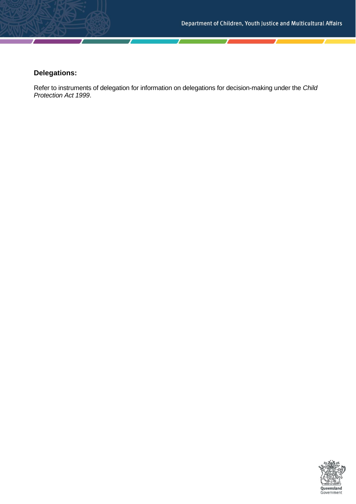# **Delegations:**

Refer to instruments of delegation for information on delegations for decision-making under the *Child Protection Act 1999*.

Τ

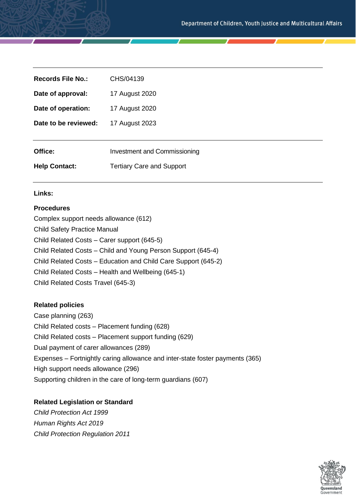| <b>Records File No.:</b> | CHS/04139                           |
|--------------------------|-------------------------------------|
| Date of approval:        | 17 August 2020                      |
| Date of operation:       | 17 August 2020                      |
| Date to be reviewed:     | 17 August 2023                      |
|                          |                                     |
| Office:                  | <b>Investment and Commissioning</b> |
| <b>Help Contact:</b>     | <b>Tertiary Care and Support</b>    |
|                          |                                     |

#### **Links:**

#### **Procedures**

Complex support needs allowance (612) Child Safety Practice Manual Child Related Costs – Carer support (645-5) Child Related Costs – Child and Young Person Support (645-4) Child Related Costs – Education and Child Care Support (645-2) Child Related Costs – Health and Wellbeing (645-1) Child Related Costs Travel (645-3)

#### **Related policies**

Case planning (263) Child Related costs – Placement funding (628) Child Related costs – Placement support funding (629) Dual payment of carer allowances (289) Expenses – Fortnightly caring allowance and inter-state foster payments (365) High support needs allowance (296) Supporting children in the care of long-term guardians (607)

### **Related Legislation or Standard**

*Child Protection Act 1999 Human Rights Act 2019 Child Protection Regulation 2011*